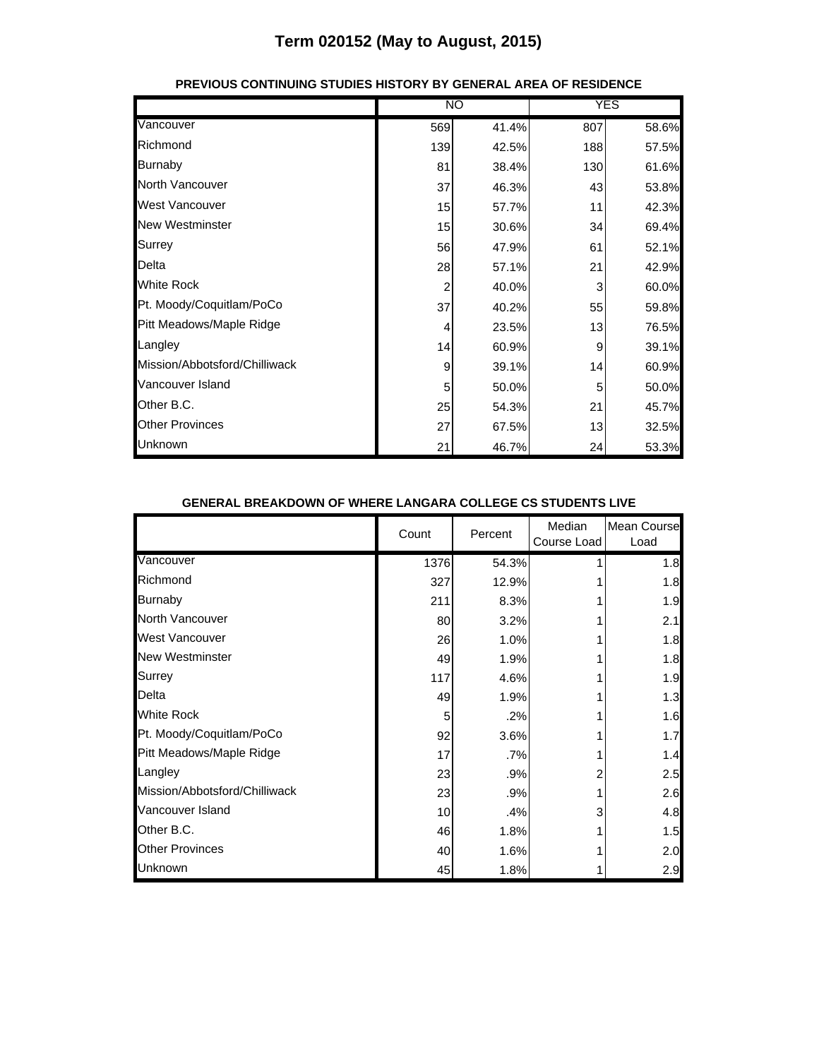|                               |                | <b>NO</b> |     | <b>YES</b> |
|-------------------------------|----------------|-----------|-----|------------|
| Vancouver                     | 569            | 41.4%     | 807 | 58.6%      |
| Richmond                      | 139            | 42.5%     | 188 | 57.5%      |
| <b>Burnaby</b>                | 81             | 38.4%     | 130 | 61.6%      |
| North Vancouver               | 37             | 46.3%     | 43  | 53.8%      |
| <b>West Vancouver</b>         | 15             | 57.7%     | 11  | 42.3%      |
| <b>New Westminster</b>        | 15             | 30.6%     | 34  | 69.4%      |
| Surrey                        | 56             | 47.9%     | 61  | 52.1%      |
| Delta                         | 28             | 57.1%     | 21  | 42.9%      |
| <b>White Rock</b>             | $\overline{2}$ | 40.0%     | 3   | 60.0%      |
| Pt. Moody/Coquitlam/PoCo      | 37             | 40.2%     | 55  | 59.8%      |
| Pitt Meadows/Maple Ridge      | 4              | 23.5%     | 13  | 76.5%      |
| Langley                       | 14             | 60.9%     | 9   | 39.1%      |
| Mission/Abbotsford/Chilliwack | 9              | 39.1%     | 14  | 60.9%      |
| Vancouver Island              | 5              | 50.0%     | 5   | 50.0%      |
| Other B.C.                    | 25             | 54.3%     | 21  | 45.7%      |
| <b>Other Provinces</b>        | 27             | 67.5%     | 13  | 32.5%      |
| Unknown                       | 21             | 46.7%     | 24  | 53.3%      |

#### **PREVIOUS CONTINUING STUDIES HISTORY BY GENERAL AREA OF RESIDENCE**

#### **GENERAL BREAKDOWN OF WHERE LANGARA COLLEGE CS STUDENTS LIVE**

|                               | Count | Percent | Median<br>Course Load | <b>Mean Course</b><br>Load |
|-------------------------------|-------|---------|-----------------------|----------------------------|
| Vancouver                     | 1376  | 54.3%   |                       | 1.8                        |
| Richmond                      | 327   | 12.9%   |                       | 1.8                        |
| <b>Burnaby</b>                | 211   | 8.3%    |                       | 1.9                        |
| <b>North Vancouver</b>        | 80    | 3.2%    |                       | 2.1                        |
| <b>West Vancouver</b>         | 26    | 1.0%    |                       | 1.8                        |
| <b>New Westminster</b>        | 49    | 1.9%    |                       | 1.8                        |
| Surrey                        | 117   | 4.6%    |                       | 1.9                        |
| Delta                         | 49    | 1.9%    |                       | 1.3                        |
| <b>White Rock</b>             | 5     | .2%     |                       | 1.6                        |
| Pt. Moody/Coquitlam/PoCo      | 92    | 3.6%    |                       | 1.7                        |
| Pitt Meadows/Maple Ridge      | 17    | .7%     |                       | 1.4                        |
| Langley                       | 23    | .9%     |                       | 2.5                        |
| Mission/Abbotsford/Chilliwack | 23    | .9%     |                       | 2.6                        |
| Vancouver Island              | 10    | .4%     | 3                     | 4.8                        |
| Other B.C.                    | 46    | 1.8%    |                       | 1.5                        |
| <b>Other Provinces</b>        | 40    | 1.6%    |                       | 2.0                        |
| Unknown                       | 45    | 1.8%    |                       | 2.9                        |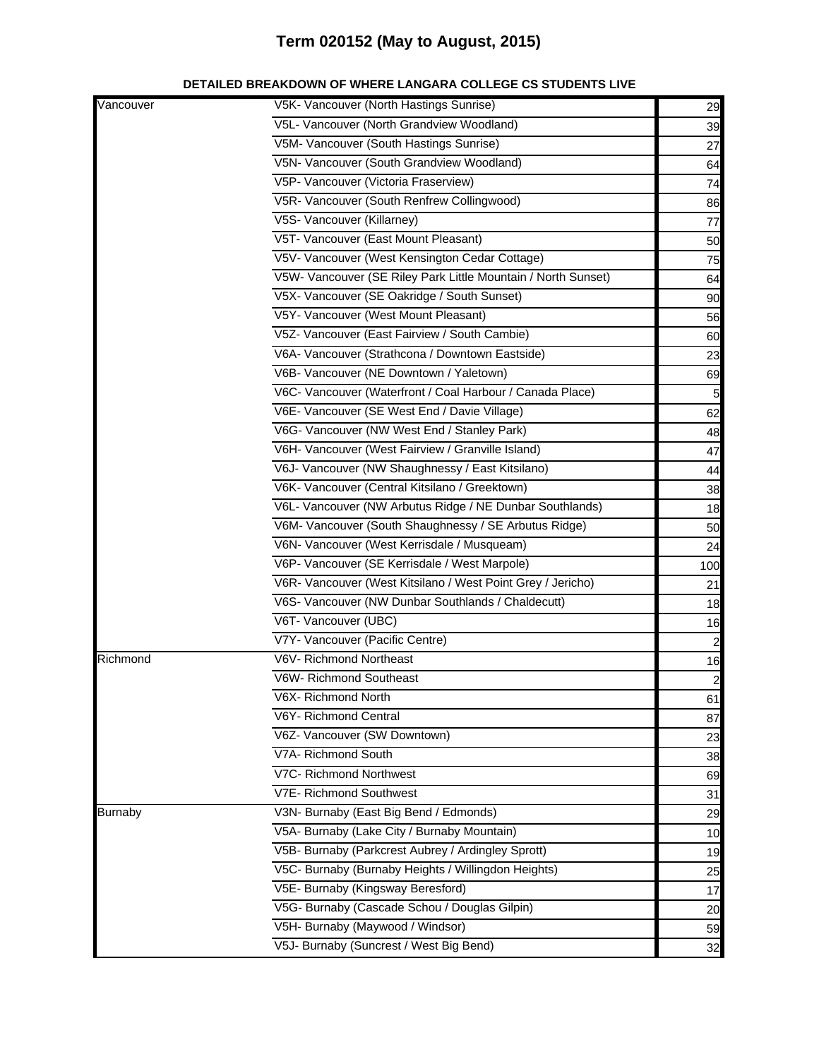| DETAILED BREAKDOWN OF WHERE LANGARA COLLEGE CS STUDENTS LIVE |  |  |
|--------------------------------------------------------------|--|--|
|                                                              |  |  |

| Vancouver      | V5K- Vancouver (North Hastings Sunrise)                       | 29                      |
|----------------|---------------------------------------------------------------|-------------------------|
|                | V5L- Vancouver (North Grandview Woodland)                     | 39                      |
|                | V5M- Vancouver (South Hastings Sunrise)                       | 27                      |
|                | V5N- Vancouver (South Grandview Woodland)                     | 64                      |
|                | V5P- Vancouver (Victoria Fraserview)                          | 74                      |
|                | V5R- Vancouver (South Renfrew Collingwood)                    | 86                      |
|                | V5S- Vancouver (Killarney)                                    | 77                      |
|                | V5T- Vancouver (East Mount Pleasant)                          | 50                      |
|                | V5V- Vancouver (West Kensington Cedar Cottage)                | 75                      |
|                | V5W- Vancouver (SE Riley Park Little Mountain / North Sunset) | 64                      |
|                | V5X- Vancouver (SE Oakridge / South Sunset)                   | 90                      |
|                | V5Y- Vancouver (West Mount Pleasant)                          | 56                      |
|                | V5Z- Vancouver (East Fairview / South Cambie)                 | 60                      |
|                | V6A- Vancouver (Strathcona / Downtown Eastside)               | 23                      |
|                | V6B- Vancouver (NE Downtown / Yaletown)                       | 69                      |
|                | V6C- Vancouver (Waterfront / Coal Harbour / Canada Place)     | 5                       |
|                | V6E- Vancouver (SE West End / Davie Village)                  | 62                      |
|                | V6G- Vancouver (NW West End / Stanley Park)                   | 48                      |
|                | V6H- Vancouver (West Fairview / Granville Island)             | 47                      |
|                | V6J- Vancouver (NW Shaughnessy / East Kitsilano)              | 44                      |
|                | V6K- Vancouver (Central Kitsilano / Greektown)                | 38                      |
|                | V6L- Vancouver (NW Arbutus Ridge / NE Dunbar Southlands)      | 18                      |
|                | V6M- Vancouver (South Shaughnessy / SE Arbutus Ridge)         | 50                      |
|                | V6N- Vancouver (West Kerrisdale / Musqueam)                   | 24                      |
|                | V6P- Vancouver (SE Kerrisdale / West Marpole)                 | 100                     |
|                | V6R- Vancouver (West Kitsilano / West Point Grey / Jericho)   | 21                      |
|                | V6S- Vancouver (NW Dunbar Southlands / Chaldecutt)            | 18                      |
|                | V6T- Vancouver (UBC)                                          | 16                      |
|                | V7Y- Vancouver (Pacific Centre)                               | $\overline{\mathbf{c}}$ |
| Richmond       | V6V- Richmond Northeast                                       | 16                      |
|                | V6W- Richmond Southeast                                       | $\overline{\mathbf{c}}$ |
|                | V6X- Richmond North                                           | 61                      |
|                | V6Y- Richmond Central                                         | 87                      |
|                | V6Z- Vancouver (SW Downtown)                                  | 23                      |
|                | V7A- Richmond South                                           | 38                      |
|                | V7C- Richmond Northwest                                       | 69                      |
|                | V7E- Richmond Southwest                                       | 31                      |
| <b>Burnaby</b> | V3N- Burnaby (East Big Bend / Edmonds)                        | 29                      |
|                | V5A- Burnaby (Lake City / Burnaby Mountain)                   | 10                      |
|                | V5B- Burnaby (Parkcrest Aubrey / Ardingley Sprott)            | 19                      |
|                | V5C- Burnaby (Burnaby Heights / Willingdon Heights)           | 25                      |
|                | V5E- Burnaby (Kingsway Beresford)                             | 17                      |
|                | V5G- Burnaby (Cascade Schou / Douglas Gilpin)                 | 20                      |
|                | V5H- Burnaby (Maywood / Windsor)                              | 59                      |
|                | V5J- Burnaby (Suncrest / West Big Bend)                       | 32                      |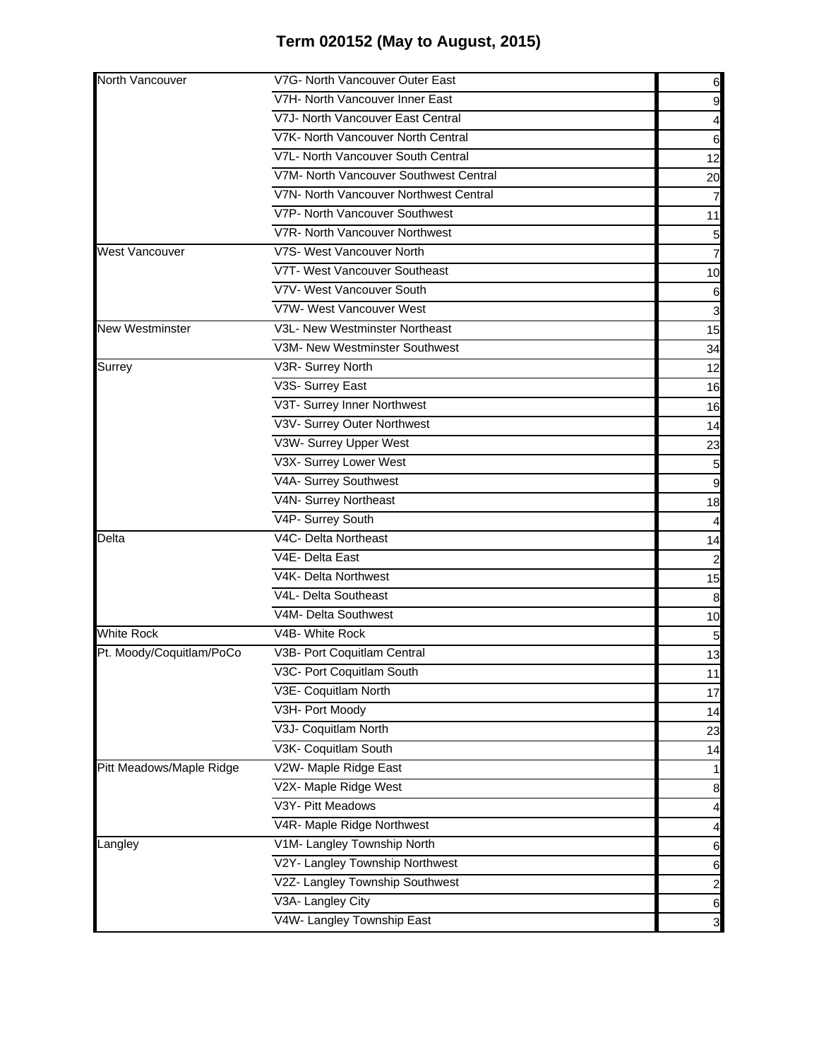| 6<br>V7H- North Vancouver Inner East<br>V7J- North Vancouver East Central<br>4<br>V7K- North Vancouver North Central<br>6<br>V7L- North Vancouver South Central<br>12<br>V7M- North Vancouver Southwest Central<br>20<br>V7N- North Vancouver Northwest Central<br>7<br>V7P- North Vancouver Southwest<br>11<br>V7R- North Vancouver Northwest<br>5<br>V7S- West Vancouver North<br><b>West Vancouver</b><br>7<br>V7T- West Vancouver Southeast<br>10<br>V7V- West Vancouver South<br>6<br>V7W- West Vancouver West<br>3<br>V3L- New Westminster Northeast<br><b>New Westminster</b><br>15<br>V3M- New Westminster Southwest<br>34<br>Surrey<br>V3R- Surrey North<br>12<br>V3S- Surrey East<br>16<br>V3T- Surrey Inner Northwest<br>16<br>V3V- Surrey Outer Northwest<br>14<br>V3W- Surrey Upper West<br>23<br>V3X- Surrey Lower West<br>V4A- Surrey Southwest<br>9<br>V4N- Surrey Northeast<br>18<br>V4P- Surrey South |
|-------------------------------------------------------------------------------------------------------------------------------------------------------------------------------------------------------------------------------------------------------------------------------------------------------------------------------------------------------------------------------------------------------------------------------------------------------------------------------------------------------------------------------------------------------------------------------------------------------------------------------------------------------------------------------------------------------------------------------------------------------------------------------------------------------------------------------------------------------------------------------------------------------------------------|
|                                                                                                                                                                                                                                                                                                                                                                                                                                                                                                                                                                                                                                                                                                                                                                                                                                                                                                                         |
|                                                                                                                                                                                                                                                                                                                                                                                                                                                                                                                                                                                                                                                                                                                                                                                                                                                                                                                         |
|                                                                                                                                                                                                                                                                                                                                                                                                                                                                                                                                                                                                                                                                                                                                                                                                                                                                                                                         |
|                                                                                                                                                                                                                                                                                                                                                                                                                                                                                                                                                                                                                                                                                                                                                                                                                                                                                                                         |
|                                                                                                                                                                                                                                                                                                                                                                                                                                                                                                                                                                                                                                                                                                                                                                                                                                                                                                                         |
|                                                                                                                                                                                                                                                                                                                                                                                                                                                                                                                                                                                                                                                                                                                                                                                                                                                                                                                         |
|                                                                                                                                                                                                                                                                                                                                                                                                                                                                                                                                                                                                                                                                                                                                                                                                                                                                                                                         |
|                                                                                                                                                                                                                                                                                                                                                                                                                                                                                                                                                                                                                                                                                                                                                                                                                                                                                                                         |
|                                                                                                                                                                                                                                                                                                                                                                                                                                                                                                                                                                                                                                                                                                                                                                                                                                                                                                                         |
|                                                                                                                                                                                                                                                                                                                                                                                                                                                                                                                                                                                                                                                                                                                                                                                                                                                                                                                         |
|                                                                                                                                                                                                                                                                                                                                                                                                                                                                                                                                                                                                                                                                                                                                                                                                                                                                                                                         |
|                                                                                                                                                                                                                                                                                                                                                                                                                                                                                                                                                                                                                                                                                                                                                                                                                                                                                                                         |
|                                                                                                                                                                                                                                                                                                                                                                                                                                                                                                                                                                                                                                                                                                                                                                                                                                                                                                                         |
|                                                                                                                                                                                                                                                                                                                                                                                                                                                                                                                                                                                                                                                                                                                                                                                                                                                                                                                         |
|                                                                                                                                                                                                                                                                                                                                                                                                                                                                                                                                                                                                                                                                                                                                                                                                                                                                                                                         |
|                                                                                                                                                                                                                                                                                                                                                                                                                                                                                                                                                                                                                                                                                                                                                                                                                                                                                                                         |
|                                                                                                                                                                                                                                                                                                                                                                                                                                                                                                                                                                                                                                                                                                                                                                                                                                                                                                                         |
|                                                                                                                                                                                                                                                                                                                                                                                                                                                                                                                                                                                                                                                                                                                                                                                                                                                                                                                         |
|                                                                                                                                                                                                                                                                                                                                                                                                                                                                                                                                                                                                                                                                                                                                                                                                                                                                                                                         |
|                                                                                                                                                                                                                                                                                                                                                                                                                                                                                                                                                                                                                                                                                                                                                                                                                                                                                                                         |
|                                                                                                                                                                                                                                                                                                                                                                                                                                                                                                                                                                                                                                                                                                                                                                                                                                                                                                                         |
|                                                                                                                                                                                                                                                                                                                                                                                                                                                                                                                                                                                                                                                                                                                                                                                                                                                                                                                         |
|                                                                                                                                                                                                                                                                                                                                                                                                                                                                                                                                                                                                                                                                                                                                                                                                                                                                                                                         |
| V4C- Delta Northeast<br>Delta<br>14                                                                                                                                                                                                                                                                                                                                                                                                                                                                                                                                                                                                                                                                                                                                                                                                                                                                                     |
| V4E- Delta East<br>$\overline{\mathbf{c}}$                                                                                                                                                                                                                                                                                                                                                                                                                                                                                                                                                                                                                                                                                                                                                                                                                                                                              |
| V4K- Delta Northwest<br>15                                                                                                                                                                                                                                                                                                                                                                                                                                                                                                                                                                                                                                                                                                                                                                                                                                                                                              |
| V4L- Delta Southeast<br>8                                                                                                                                                                                                                                                                                                                                                                                                                                                                                                                                                                                                                                                                                                                                                                                                                                                                                               |
| V4M- Delta Southwest<br>10                                                                                                                                                                                                                                                                                                                                                                                                                                                                                                                                                                                                                                                                                                                                                                                                                                                                                              |
| <b>White Rock</b><br>V4B- White Rock<br>5                                                                                                                                                                                                                                                                                                                                                                                                                                                                                                                                                                                                                                                                                                                                                                                                                                                                               |
| Pt. Moody/Coquitlam/PoCo<br>V3B- Port Coquitlam Central<br>13                                                                                                                                                                                                                                                                                                                                                                                                                                                                                                                                                                                                                                                                                                                                                                                                                                                           |
| V3C- Port Coquitlam South<br>11                                                                                                                                                                                                                                                                                                                                                                                                                                                                                                                                                                                                                                                                                                                                                                                                                                                                                         |
| V3E- Coquitlam North<br>17                                                                                                                                                                                                                                                                                                                                                                                                                                                                                                                                                                                                                                                                                                                                                                                                                                                                                              |
| V3H- Port Moody<br>14                                                                                                                                                                                                                                                                                                                                                                                                                                                                                                                                                                                                                                                                                                                                                                                                                                                                                                   |
| V3J- Coquitlam North<br>23                                                                                                                                                                                                                                                                                                                                                                                                                                                                                                                                                                                                                                                                                                                                                                                                                                                                                              |
| V3K- Coquitlam South<br>14                                                                                                                                                                                                                                                                                                                                                                                                                                                                                                                                                                                                                                                                                                                                                                                                                                                                                              |
| Pitt Meadows/Maple Ridge<br>V2W- Maple Ridge East                                                                                                                                                                                                                                                                                                                                                                                                                                                                                                                                                                                                                                                                                                                                                                                                                                                                       |
| V2X- Maple Ridge West<br>8                                                                                                                                                                                                                                                                                                                                                                                                                                                                                                                                                                                                                                                                                                                                                                                                                                                                                              |
| V3Y- Pitt Meadows<br>4                                                                                                                                                                                                                                                                                                                                                                                                                                                                                                                                                                                                                                                                                                                                                                                                                                                                                                  |
| V4R- Maple Ridge Northwest<br>4                                                                                                                                                                                                                                                                                                                                                                                                                                                                                                                                                                                                                                                                                                                                                                                                                                                                                         |
| V1M- Langley Township North<br>Langley<br>6                                                                                                                                                                                                                                                                                                                                                                                                                                                                                                                                                                                                                                                                                                                                                                                                                                                                             |
| V2Y- Langley Township Northwest<br>6                                                                                                                                                                                                                                                                                                                                                                                                                                                                                                                                                                                                                                                                                                                                                                                                                                                                                    |
| V2Z- Langley Township Southwest<br>$\overline{a}$                                                                                                                                                                                                                                                                                                                                                                                                                                                                                                                                                                                                                                                                                                                                                                                                                                                                       |
| V3A- Langley City<br>6                                                                                                                                                                                                                                                                                                                                                                                                                                                                                                                                                                                                                                                                                                                                                                                                                                                                                                  |
| V4W- Langley Township East<br>3                                                                                                                                                                                                                                                                                                                                                                                                                                                                                                                                                                                                                                                                                                                                                                                                                                                                                         |